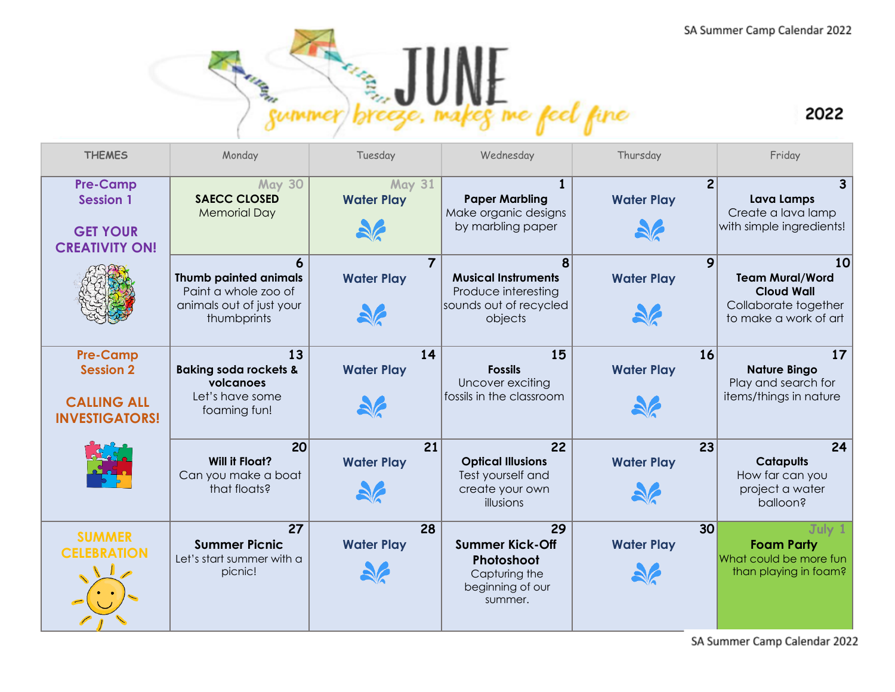



| <b>THEMES</b>                                                                      | Monday                                                                                          | Tuesday                             | Wednesday                                                                                   | Thursday                            | Friday                                                                                             |
|------------------------------------------------------------------------------------|-------------------------------------------------------------------------------------------------|-------------------------------------|---------------------------------------------------------------------------------------------|-------------------------------------|----------------------------------------------------------------------------------------------------|
| <b>Pre-Camp</b><br><b>Session 1</b><br><b>GET YOUR</b><br><b>CREATIVITY ON!</b>    | <b>May 30</b><br><b>SAECC CLOSED</b><br><b>Memorial Day</b>                                     | <b>May 31</b><br><b>Water Play</b>  | <b>Paper Marbling</b><br>Make organic designs<br>by marbling paper                          | $\overline{2}$<br><b>Water Play</b> | Lava Lamps<br>Create a lava lamp<br>with simple ingredients!                                       |
|                                                                                    | <b>Thumb painted animals</b><br>Paint a whole zoo of<br>animals out of just your<br>thumbprints | $\overline{7}$<br><b>Water Play</b> | 8<br><b>Musical Instruments</b><br>Produce interesting<br>sounds out of recycled<br>objects | 9<br><b>Water Play</b>              | 10<br><b>Team Mural/Word</b><br><b>Cloud Wall</b><br>Collaborate together<br>to make a work of art |
| <b>Pre-Camp</b><br><b>Session 2</b><br><b>CALLING ALL</b><br><b>INVESTIGATORS!</b> | 13<br><b>Baking soda rockets &amp;</b><br>volcanoes<br>Let's have some<br>foaming fun!          | 14<br><b>Water Play</b>             | 15<br><b>Fossils</b><br>Uncover exciting<br>fossils in the classroom                        | 16<br><b>Water Play</b>             | 17<br><b>Nature Bingo</b><br>Play and search for<br>items/things in nature                         |
|                                                                                    | 20<br><b>Will it Float?</b><br>Can you make a boat<br>that floats?                              | 21<br><b>Water Play</b>             | 22<br><b>Optical Illusions</b><br>Test yourself and<br>create your own<br>illusions         | 23<br><b>Water Play</b>             | 24<br><b>Catapults</b><br>How far can you<br>project a water<br>balloon?                           |
| <b>SUMMER</b><br><b>CELEBRATION</b>                                                | 27<br><b>Summer Picnic</b><br>Let's start summer with a<br>picnic!                              | 28<br><b>Water Play</b>             | 29<br><b>Summer Kick-Off</b><br>Photoshoot<br>Capturing the<br>beginning of our<br>summer.  | 30<br><b>Water Play</b>             | July 1<br><b>Foam Party</b><br>What could be more fun<br>than playing in foam?                     |

SA Summer Camp Calendar 2022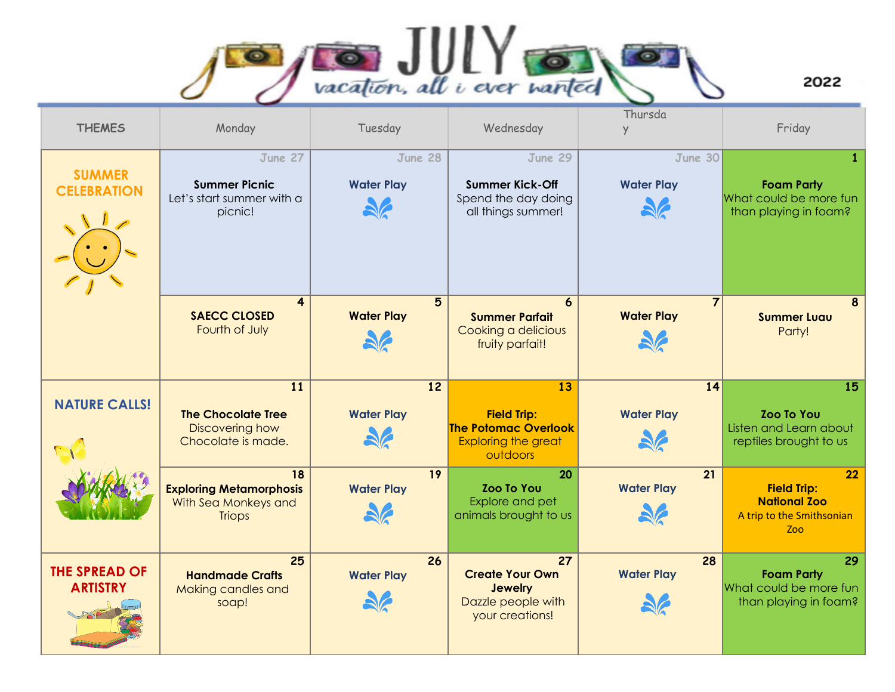

2022

| <b>THEMES</b>                           | Monday                                                                        | Tuesday                                              | Wednesday                                                                                         | Thursda<br>$\vee$                               | Friday                                                                               |
|-----------------------------------------|-------------------------------------------------------------------------------|------------------------------------------------------|---------------------------------------------------------------------------------------------------|-------------------------------------------------|--------------------------------------------------------------------------------------|
| <b>SUMMER</b><br><b>CELEBRATION</b>     | June 27<br><b>Summer Picnic</b><br>Let's start summer with a<br>picnic!       | June 28<br><b>Water Play</b>                         | June 29<br><b>Summer Kick-Off</b><br>Spend the day doing<br>all things summer!                    | June 30<br><b>Water Play</b>                    | $\mathbf{1}$<br><b>Foam Party</b><br>What could be more fun<br>than playing in foam? |
|                                         | $\overline{\mathbf{4}}$<br><b>SAECC CLOSED</b><br>Fourth of July              | $5\phantom{.}$<br><b>Water Play</b><br>$\frac{1}{2}$ | 6<br><b>Summer Parfait</b><br>Cooking a delicious<br>fruity parfait!                              | $\overline{7}$<br><b>Water Play</b><br><b>A</b> | 8<br><b>Summer Luau</b><br>Party!                                                    |
| <b>NATURE CALLS!</b>                    | 11<br><b>The Chocolate Tree</b><br>Discovering how<br>Chocolate is made.      | 12<br><b>Water Play</b><br>$\frac{1}{2}$             | 13<br><b>Field Trip:</b><br><b>The Potomac Overlook</b><br><b>Exploring the great</b><br>outdoors | 14<br><b>Water Play</b>                         | 15<br><b>Zoo To You</b><br>Listen and Learn about<br>reptiles brought to us          |
|                                         | 18<br><b>Exploring Metamorphosis</b><br>With Sea Monkeys and<br><b>Triops</b> | 19<br><b>Water Play</b><br>56                        | 20<br><b>Zoo To You</b><br>Explore and pet<br>animals brought to us                               | 21<br><b>Water Play</b>                         | 22<br><b>Field Trip:</b><br><b>National Zoo</b><br>A trip to the Smithsonian<br>Zoo  |
| <b>THE SPREAD OF</b><br><b>ARTISTRY</b> | 25<br><b>Handmade Crafts</b><br>Making candles and<br>soap!                   | 26<br><b>Water Play</b>                              | 27<br><b>Create Your Own</b><br><b>Jewelry</b><br>Dazzle people with<br>your creations!           | 28<br><b>Water Play</b>                         | 29<br><b>Foam Party</b><br>What could be more fun<br>than playing in foam?           |